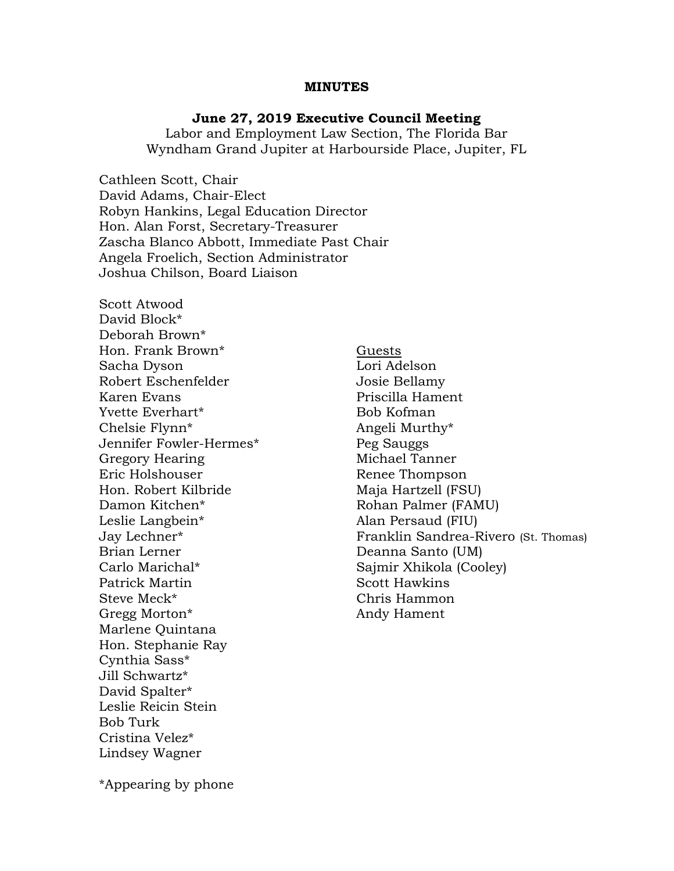#### MINUTES

#### June 27, 2019 Executive Council Meeting

Labor and Employment Law Section, The Florida Bar Wyndham Grand Jupiter at Harbourside Place, Jupiter, FL

Cathleen Scott, Chair David Adams, Chair-Elect Robyn Hankins, Legal Education Director Hon. Alan Forst, Secretary-Treasurer Zascha Blanco Abbott, Immediate Past Chair Angela Froelich, Section Administrator Joshua Chilson, Board Liaison

Scott Atwood David Block\* Deborah Brown\* Hon. Frank Brown\* Guests Sacha Dyson Lori Adelson Robert Eschenfelder **Grauber** Josie Bellamy Karen Evans **Priscilla Hament** Yvette Everhart\* Bob Kofman Chelsie Flynn<sup>\*</sup> Angeli Murthy<sup>\*</sup> Jennifer Fowler-Hermes\* Peg Sauggs Gregory Hearing **Michael Tanner** Eric Holshouser **Renee Thompson** Hon. Robert Kilbride Maja Hartzell (FSU) Damon Kitchen\* Rohan Palmer (FAMU) Leslie Langbein\* Alan Persaud (FIU) Brian Lerner Deanna Santo (UM) Carlo Marichal\* Sajmir Xhikola (Cooley) Patrick Martin Scott Hawkins Steve Meck<sup>\*</sup> Chris Hammon Gregg Morton\* Andy Hament Marlene Quintana Hon. Stephanie Ray Cynthia Sass\* Jill Schwartz\* David Spalter\* Leslie Reicin Stein Bob Turk Cristina Velez\* Lindsey Wagner

Jay Lechner\* Franklin Sandrea-Rivero (St. Thomas)

\*Appearing by phone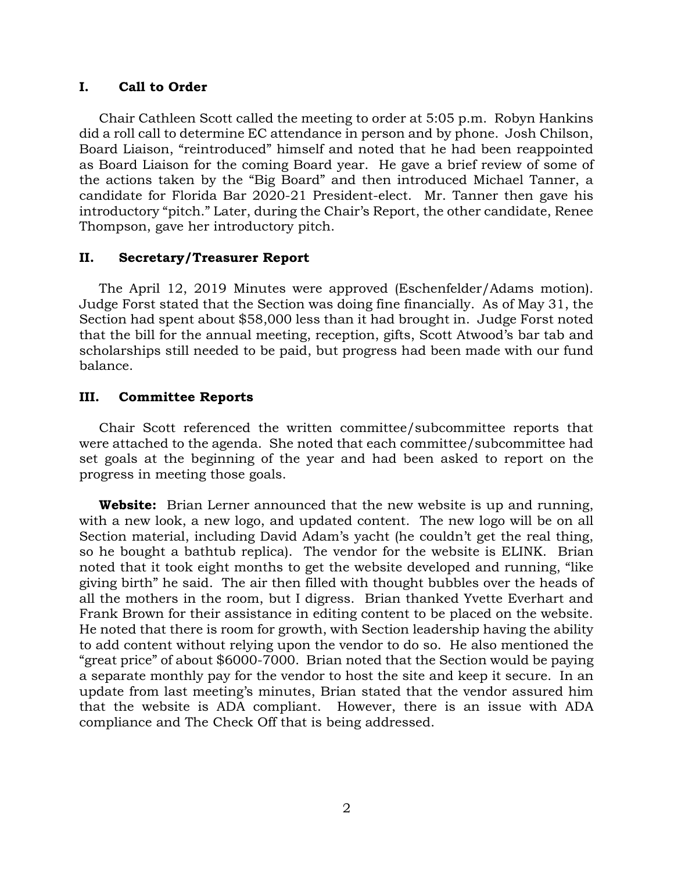## I. Call to Order

Chair Cathleen Scott called the meeting to order at 5:05 p.m. Robyn Hankins did a roll call to determine EC attendance in person and by phone. Josh Chilson, Board Liaison, "reintroduced" himself and noted that he had been reappointed as Board Liaison for the coming Board year. He gave a brief review of some of the actions taken by the "Big Board" and then introduced Michael Tanner, a candidate for Florida Bar 2020-21 President-elect. Mr. Tanner then gave his introductory "pitch." Later, during the Chair's Report, the other candidate, Renee Thompson, gave her introductory pitch.

# II. Secretary/Treasurer Report

The April 12, 2019 Minutes were approved (Eschenfelder/Adams motion). Judge Forst stated that the Section was doing fine financially. As of May 31, the Section had spent about \$58,000 less than it had brought in. Judge Forst noted that the bill for the annual meeting, reception, gifts, Scott Atwood's bar tab and scholarships still needed to be paid, but progress had been made with our fund balance.

# III. Committee Reports

Chair Scott referenced the written committee/subcommittee reports that were attached to the agenda. She noted that each committee/subcommittee had set goals at the beginning of the year and had been asked to report on the progress in meeting those goals.

**Website:** Brian Lerner announced that the new website is up and running, with a new look, a new logo, and updated content. The new logo will be on all Section material, including David Adam's yacht (he couldn't get the real thing, so he bought a bathtub replica). The vendor for the website is ELINK. Brian noted that it took eight months to get the website developed and running, "like giving birth" he said. The air then filled with thought bubbles over the heads of all the mothers in the room, but I digress. Brian thanked Yvette Everhart and Frank Brown for their assistance in editing content to be placed on the website. He noted that there is room for growth, with Section leadership having the ability to add content without relying upon the vendor to do so. He also mentioned the "great price" of about \$6000-7000. Brian noted that the Section would be paying a separate monthly pay for the vendor to host the site and keep it secure. In an update from last meeting's minutes, Brian stated that the vendor assured him that the website is ADA compliant. However, there is an issue with ADA compliance and The Check Off that is being addressed.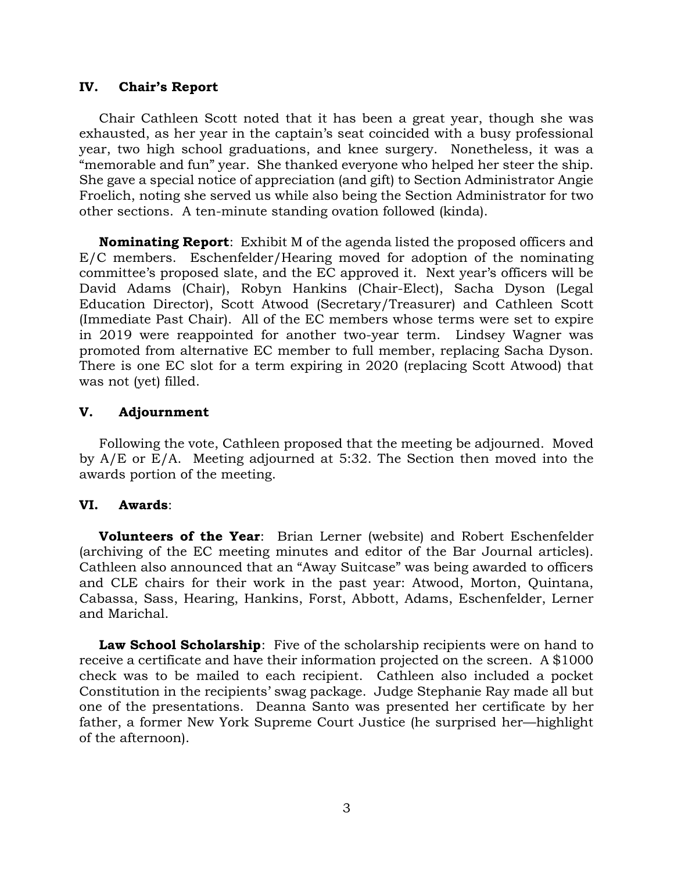### IV. Chair's Report

Chair Cathleen Scott noted that it has been a great year, though she was exhausted, as her year in the captain's seat coincided with a busy professional year, two high school graduations, and knee surgery. Nonetheless, it was a "memorable and fun" year. She thanked everyone who helped her steer the ship. She gave a special notice of appreciation (and gift) to Section Administrator Angie Froelich, noting she served us while also being the Section Administrator for two other sections. A ten-minute standing ovation followed (kinda).

**Nominating Report:** Exhibit M of the agenda listed the proposed officers and E/C members. Eschenfelder/Hearing moved for adoption of the nominating committee's proposed slate, and the EC approved it. Next year's officers will be David Adams (Chair), Robyn Hankins (Chair-Elect), Sacha Dyson (Legal Education Director), Scott Atwood (Secretary/Treasurer) and Cathleen Scott (Immediate Past Chair). All of the EC members whose terms were set to expire in 2019 were reappointed for another two-year term. Lindsey Wagner was promoted from alternative EC member to full member, replacing Sacha Dyson. There is one EC slot for a term expiring in 2020 (replacing Scott Atwood) that was not (yet) filled.

## V. Adjournment

Following the vote, Cathleen proposed that the meeting be adjourned. Moved by A/E or E/A. Meeting adjourned at 5:32. The Section then moved into the awards portion of the meeting.

# VI. Awards:

Volunteers of the Year: Brian Lerner (website) and Robert Eschenfelder (archiving of the EC meeting minutes and editor of the Bar Journal articles). Cathleen also announced that an "Away Suitcase" was being awarded to officers and CLE chairs for their work in the past year: Atwood, Morton, Quintana, Cabassa, Sass, Hearing, Hankins, Forst, Abbott, Adams, Eschenfelder, Lerner and Marichal.

Law School Scholarship: Five of the scholarship recipients were on hand to receive a certificate and have their information projected on the screen. A \$1000 check was to be mailed to each recipient. Cathleen also included a pocket Constitution in the recipients' swag package. Judge Stephanie Ray made all but one of the presentations. Deanna Santo was presented her certificate by her father, a former New York Supreme Court Justice (he surprised her—highlight of the afternoon).